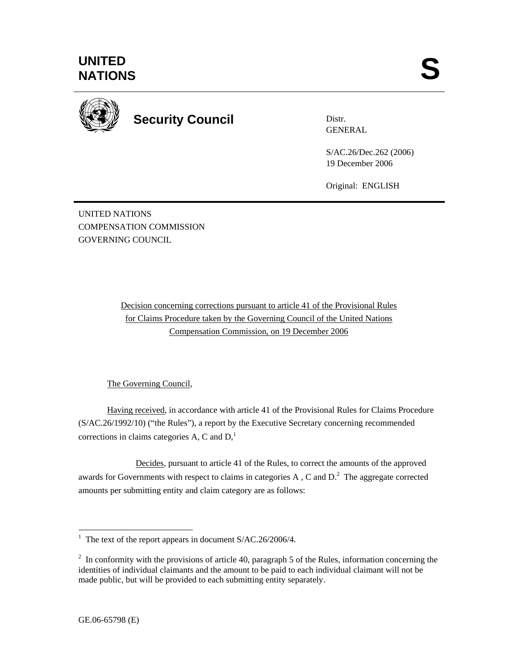

**Security Council** 

Distr. **GENERAL** 

S/AC.26/Dec.262 (2006) 19 December 2006

Original: ENGLISH

UNITED NATIONS COMPENSATION COMMISSION GOVERNING COUNCIL

> Decision concerning corrections pursuant to article 41 of the Provisional Rules for Claims Procedure taken by the Governing Council of the United Nations Compensation Commission, on 19 December 2006

## The Governing Council,

Having received, in accordance with article 41 of the Provisional Rules for Claims Procedure (S/AC.26/1992/10) ("the Rules"), a report by the Executive Secretary concerning recommended corrections in claims categories A, C and  $D<sub>1</sub><sup>1</sup>$ 

 Decides, pursuant to article 41 of the Rules, to correct the amounts of the approved awards for Governments with respect to claims in categories A, C and  $D<sup>2</sup>$ . The aggregate corrected amounts per submitting entity and claim category are as follows:

<sup>&</sup>lt;sup>1</sup> The text of the report appears in document S/AC.26/2006/4.

 $2 \text{ In arbitrary with the provisions of article } 40$ , paragraph 5 of the Rules, information concerning the identities of individual claimants and the amount to be paid to each individual claimant will not be made public, but will be provided to each submitting entity separately.